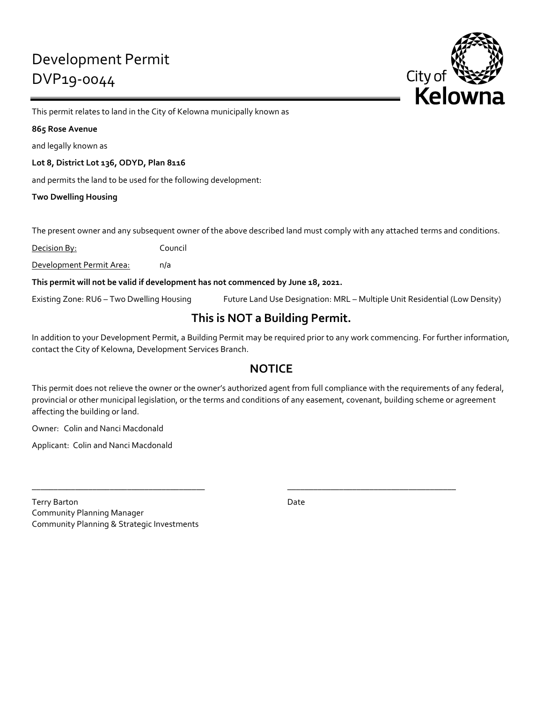

This permit relates to land in the City of Kelowna municipally known as

### **865 Rose Avenue**

and legally known as

**Lot 8, District Lot 136, ODYD, Plan 8116**

and permits the land to be used for the following development:

**Two Dwelling Housing**

The present owner and any subsequent owner of the above described land must comply with any attached terms and conditions.

Decision By: Council

Development Permit Area: n/a

**This permit will not be valid if development has not commenced by June 18, 2021.**

Existing Zone: RU6 – Two Dwelling Housing Future Land Use Designation: MRL – Multiple Unit Residential (Low Density)

# **This is NOT a Building Permit.**

In addition to your Development Permit, a Building Permit may be required prior to any work commencing. For further information, contact the City of Kelowna, Development Services Branch.

# **NOTICE**

This permit does not relieve the owner or the owner's authorized agent from full compliance with the requirements of any federal, provincial or other municipal legislation, or the terms and conditions of any easement, covenant, building scheme or agreement affecting the building or land.

\_\_\_\_\_\_\_\_\_\_\_\_\_\_\_\_\_\_\_\_\_\_\_\_\_\_\_\_\_\_\_\_\_\_\_\_\_\_\_\_ \_\_\_\_\_\_\_\_\_\_\_\_\_\_\_\_\_\_\_\_\_\_\_\_\_\_\_\_\_\_\_\_\_\_\_\_\_\_\_

Owner: Colin and Nanci Macdonald

Applicant: Colin and Nanci Macdonald

Terry Barton Date Communication Communication Communication Communication Communication Communication Communication Communication Communication Communication Communication Communication Communication Communication Communic Community Planning Manager Community Planning & Strategic Investments